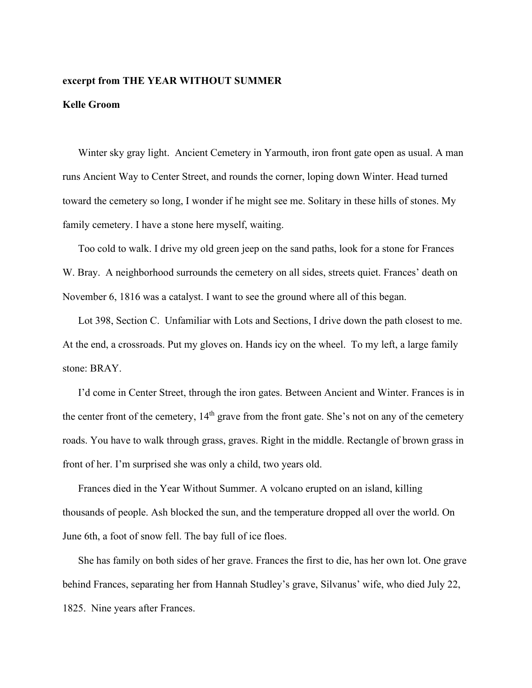## **excerpt from THE YEAR WITHOUT SUMMER**

## **Kelle Groom**

Winter sky gray light. Ancient Cemetery in Yarmouth, iron front gate open as usual. A man runs Ancient Way to Center Street, and rounds the corner, loping down Winter. Head turned toward the cemetery so long, I wonder if he might see me. Solitary in these hills of stones. My family cemetery. I have a stone here myself, waiting.

Too cold to walk. I drive my old green jeep on the sand paths, look for a stone for Frances W. Bray. A neighborhood surrounds the cemetery on all sides, streets quiet. Frances' death on November 6, 1816 was a catalyst. I want to see the ground where all of this began.

Lot 398, Section C. Unfamiliar with Lots and Sections, I drive down the path closest to me. At the end, a crossroads. Put my gloves on. Hands icy on the wheel. To my left, a large family stone: BRAY.

I'd come in Center Street, through the iron gates. Between Ancient and Winter. Frances is in the center front of the cemetery,  $14<sup>th</sup>$  grave from the front gate. She's not on any of the cemetery roads. You have to walk through grass, graves. Right in the middle. Rectangle of brown grass in front of her. I'm surprised she was only a child, two years old.

Frances died in the Year Without Summer. A volcano erupted on an island, killing thousands of people. Ash blocked the sun, and the temperature dropped all over the world. On June 6th, a foot of snow fell. The bay full of ice floes.

She has family on both sides of her grave. Frances the first to die, has her own lot. One grave behind Frances, separating her from Hannah Studley's grave, Silvanus' wife, who died July 22, 1825. Nine years after Frances.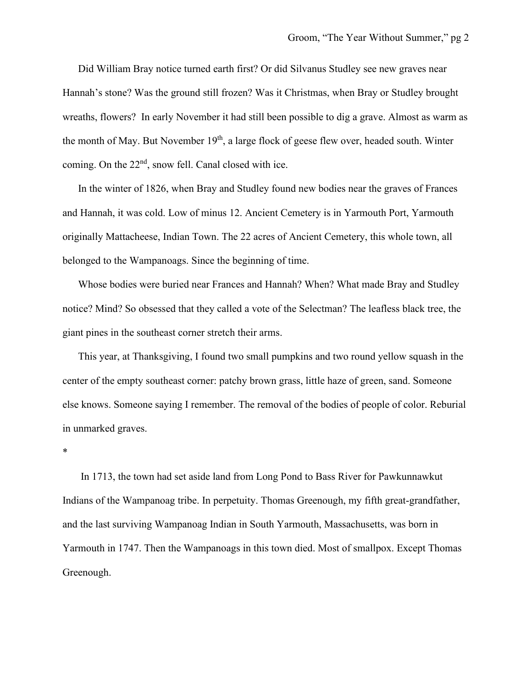Did William Bray notice turned earth first? Or did Silvanus Studley see new graves near Hannah's stone? Was the ground still frozen? Was it Christmas, when Bray or Studley brought wreaths, flowers? In early November it had still been possible to dig a grave. Almost as warm as the month of May. But November 19<sup>th</sup>, a large flock of geese flew over, headed south. Winter coming. On the 22<sup>nd</sup>, snow fell. Canal closed with ice.

In the winter of 1826, when Bray and Studley found new bodies near the graves of Frances and Hannah, it was cold. Low of minus 12. Ancient Cemetery is in Yarmouth Port, Yarmouth originally Mattacheese, Indian Town. The 22 acres of Ancient Cemetery, this whole town, all belonged to the Wampanoags. Since the beginning of time.

Whose bodies were buried near Frances and Hannah? When? What made Bray and Studley notice? Mind? So obsessed that they called a vote of the Selectman? The leafless black tree, the giant pines in the southeast corner stretch their arms.

This year, at Thanksgiving, I found two small pumpkins and two round yellow squash in the center of the empty southeast corner: patchy brown grass, little haze of green, sand. Someone else knows. Someone saying I remember. The removal of the bodies of people of color. Reburial in unmarked graves.

\*

In 1713, the town had set aside land from Long Pond to Bass River for Pawkunnawkut Indians of the Wampanoag tribe. In perpetuity. Thomas Greenough, my fifth great-grandfather, and the last surviving Wampanoag Indian in South Yarmouth, Massachusetts, was born in Yarmouth in 1747. Then the Wampanoags in this town died. Most of smallpox. Except Thomas Greenough.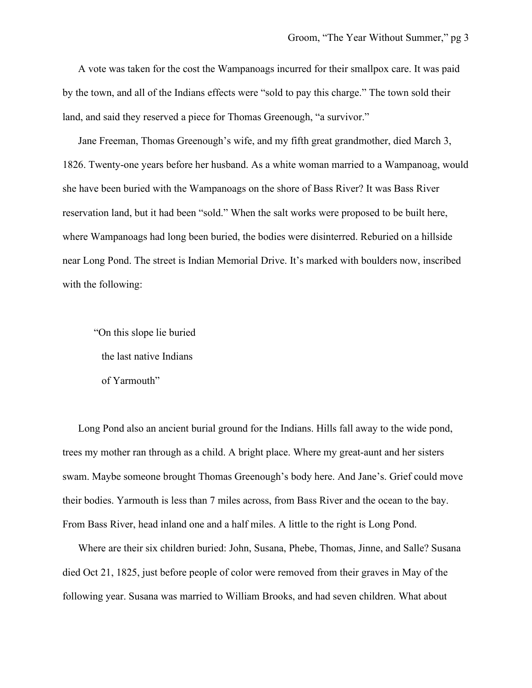A vote was taken for the cost the Wampanoags incurred for their smallpox care. It was paid by the town, and all of the Indians effects were "sold to pay this charge." The town sold their land, and said they reserved a piece for Thomas Greenough, "a survivor."

Jane Freeman, Thomas Greenough's wife, and my fifth great grandmother, died March 3, 1826. Twenty-one years before her husband. As a white woman married to a Wampanoag, would she have been buried with the Wampanoags on the shore of Bass River? It was Bass River reservation land, but it had been "sold." When the salt works were proposed to be built here, where Wampanoags had long been buried, the bodies were disinterred. Reburied on a hillside near Long Pond. The street is Indian Memorial Drive. It's marked with boulders now, inscribed with the following:

"On this slope lie buried the last native Indians of Yarmouth"

Long Pond also an ancient burial ground for the Indians. Hills fall away to the wide pond, trees my mother ran through as a child. A bright place. Where my great-aunt and her sisters swam. Maybe someone brought Thomas Greenough's body here. And Jane's. Grief could move their bodies. Yarmouth is less than 7 miles across, from Bass River and the ocean to the bay. From Bass River, head inland one and a half miles. A little to the right is Long Pond.

Where are their six children buried: John, Susana, Phebe, Thomas, Jinne, and Salle? Susana died Oct 21, 1825, just before people of color were removed from their graves in May of the following year. Susana was married to William Brooks, and had seven children. What about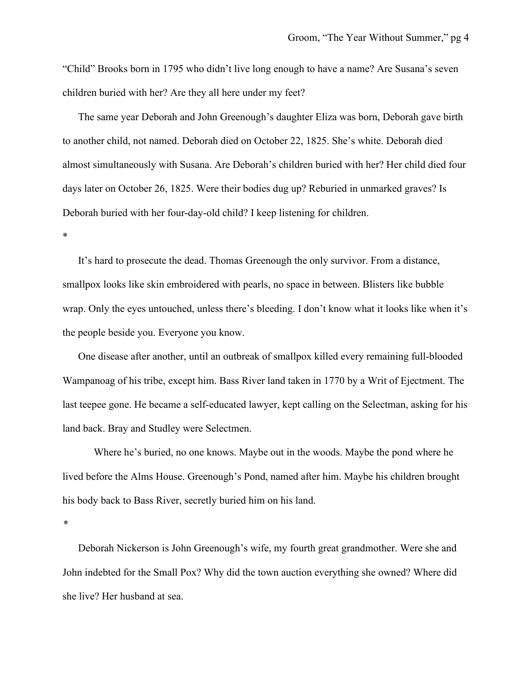"Child" Brooks born in 1795 who didn't live long enough to have a name? Are Susana's seven children buried with her? Are they all here under my feet?

The same year Deborah and John Greenough's daughter Eliza was born, Deborah gave birth to another child, not named. Deborah died on October 22, 1825. She's white. Deborah died almost simultaneously with Susana. Are Deborah's children buried with her? Her child died four days later on October 26, 1825. Were their bodies dug up? Reburied in unmarked graves? Is Deborah buried with her four-day-old child? I keep listening for children.

\*

It's hard to prosecute the dead. Thomas Greenough the only survivor. From a distance, smallpox looks like skin embroidered with pearls, no space in between. Blisters like bubble wrap. Only the eyes untouched, unless there's bleeding. I don't know what it looks like when it's the people beside you. Everyone you know.

One disease after another, until an outbreak of smallpox killed every remaining full-blooded Wampanoag of his tribe, except him. Bass River land taken in 1770 by a Writ of Ejectment. The last teepee gone. He became a self-educated lawyer, kept calling on the Selectman, asking for his land back. Bray and Studley were Selectmen.

Where he's buried, no one knows. Maybe out in the woods. Maybe the pond where he lived before the Alms House. Greenough's Pond, named after him. Maybe his children brought his body back to Bass River, secretly buried him on his land.

Deborah Nickerson is John Greenough's wife, my fourth great grandmother. Were she and John indebted for the Small Pox? Why did the town auction everything she owned? Where did she live? Her husband at sea.

*<sup>\*</sup>*